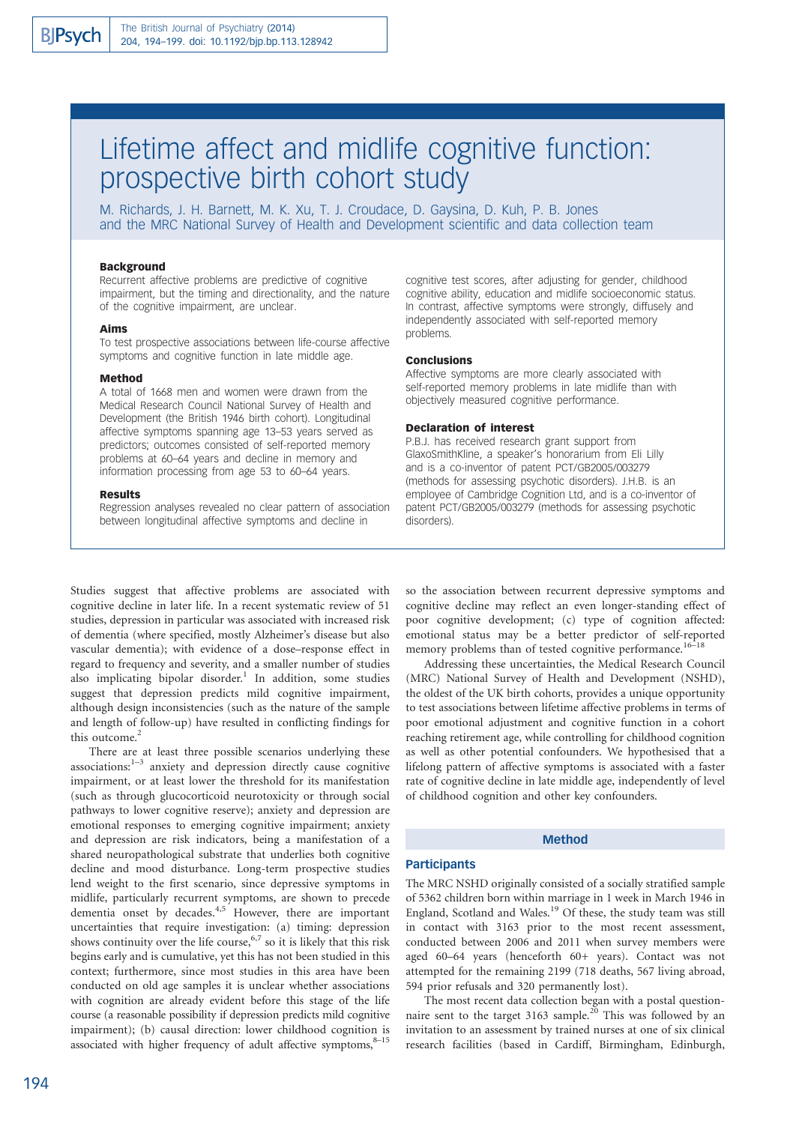# Lifetime affect and midlife cognitive function: prospective birth cohort study

M. Richards, J. H. Barnett, M. K. Xu, T. J. Croudace, D. Gaysina, D. Kuh, P. B. Jones and the MRC National Survey of Health and Development scientific and data collection team

#### Background

Recurrent affective problems are predictive of cognitive impairment, but the timing and directionality, and the nature of the cognitive impairment, are unclear.

# Aims

To test prospective associations between life-course affective symptoms and cognitive function in late middle age.

#### Method

A total of 1668 men and women were drawn from the Medical Research Council National Survey of Health and Development (the British 1946 birth cohort). Longitudinal affective symptoms spanning age 13–53 years served as predictors; outcomes consisted of self-reported memory problems at 60–64 years and decline in memory and information processing from age 53 to 60–64 years.

# Results

Regression analyses revealed no clear pattern of association between longitudinal affective symptoms and decline in

Studies suggest that affective problems are associated with cognitive decline in later life. In a recent systematic review of 51 studies, depression in particular was associated with increased risk of dementia (where specified, mostly Alzheimer's disease but also vascular dementia); with evidence of a dose–response effect in regard to frequency and severity, and a smaller number of studies also implicating bipolar disorder.<sup>1</sup> In addition, some studies suggest that depression predicts mild cognitive impairment, although design inconsistencies (such as the nature of the sample and length of follow-up) have resulted in conflicting findings for this outcome.<sup>2</sup>

There are at least three possible scenarios underlying these associations:1–3 anxiety and depression directly cause cognitive impairment, or at least lower the threshold for its manifestation (such as through glucocorticoid neurotoxicity or through social pathways to lower cognitive reserve); anxiety and depression are emotional responses to emerging cognitive impairment; anxiety and depression are risk indicators, being a manifestation of a shared neuropathological substrate that underlies both cognitive decline and mood disturbance. Long-term prospective studies lend weight to the first scenario, since depressive symptoms in midlife, particularly recurrent symptoms, are shown to precede dementia onset by decades.4,5 However, there are important uncertainties that require investigation: (a) timing: depression shows continuity over the life course,<sup>6,7</sup> so it is likely that this risk begins early and is cumulative, yet this has not been studied in this context; furthermore, since most studies in this area have been conducted on old age samples it is unclear whether associations with cognition are already evident before this stage of the life course (a reasonable possibility if depression predicts mild cognitive impairment); (b) causal direction: lower childhood cognition is associated with higher frequency of adult affective symptoms, $8-15$ 

cognitive test scores, after adjusting for gender, childhood cognitive ability, education and midlife socioeconomic status. In contrast, affective symptoms were strongly, diffusely and independently associated with self-reported memory problems.

# Conclusions

Affective symptoms are more clearly associated with self-reported memory problems in late midlife than with objectively measured cognitive performance.

# Declaration of interest

P.B.J. has received research grant support from GlaxoSmithKline, a speaker's honorarium from Eli Lilly and is a co-inventor of patent PCT/GB2005/003279 (methods for assessing psychotic disorders). J.H.B. is an employee of Cambridge Cognition Ltd, and is a co-inventor of patent PCT/GB2005/003279 (methods for assessing psychotic disorders).

so the association between recurrent depressive symptoms and cognitive decline may reflect an even longer-standing effect of poor cognitive development; (c) type of cognition affected: emotional status may be a better predictor of self-reported memory problems than of tested cognitive performance.<sup>16–18</sup>

Addressing these uncertainties, the Medical Research Council (MRC) National Survey of Health and Development (NSHD), the oldest of the UK birth cohorts, provides a unique opportunity to test associations between lifetime affective problems in terms of poor emotional adjustment and cognitive function in a cohort reaching retirement age, while controlling for childhood cognition as well as other potential confounders. We hypothesised that a lifelong pattern of affective symptoms is associated with a faster rate of cognitive decline in late middle age, independently of level of childhood cognition and other key confounders.

# Method

#### **Participants**

The MRC NSHD originally consisted of a socially stratified sample of 5362 children born within marriage in 1 week in March 1946 in England, Scotland and Wales.<sup>19</sup> Of these, the study team was still in contact with 3163 prior to the most recent assessment, conducted between 2006 and 2011 when survey members were aged 60–64 years (henceforth 60+ years). Contact was not attempted for the remaining 2199 (718 deaths, 567 living abroad, 594 prior refusals and 320 permanently lost).

The most recent data collection began with a postal questionnaire sent to the target 3163 sample.<sup>20</sup> This was followed by an invitation to an assessment by trained nurses at one of six clinical research facilities (based in Cardiff, Birmingham, Edinburgh,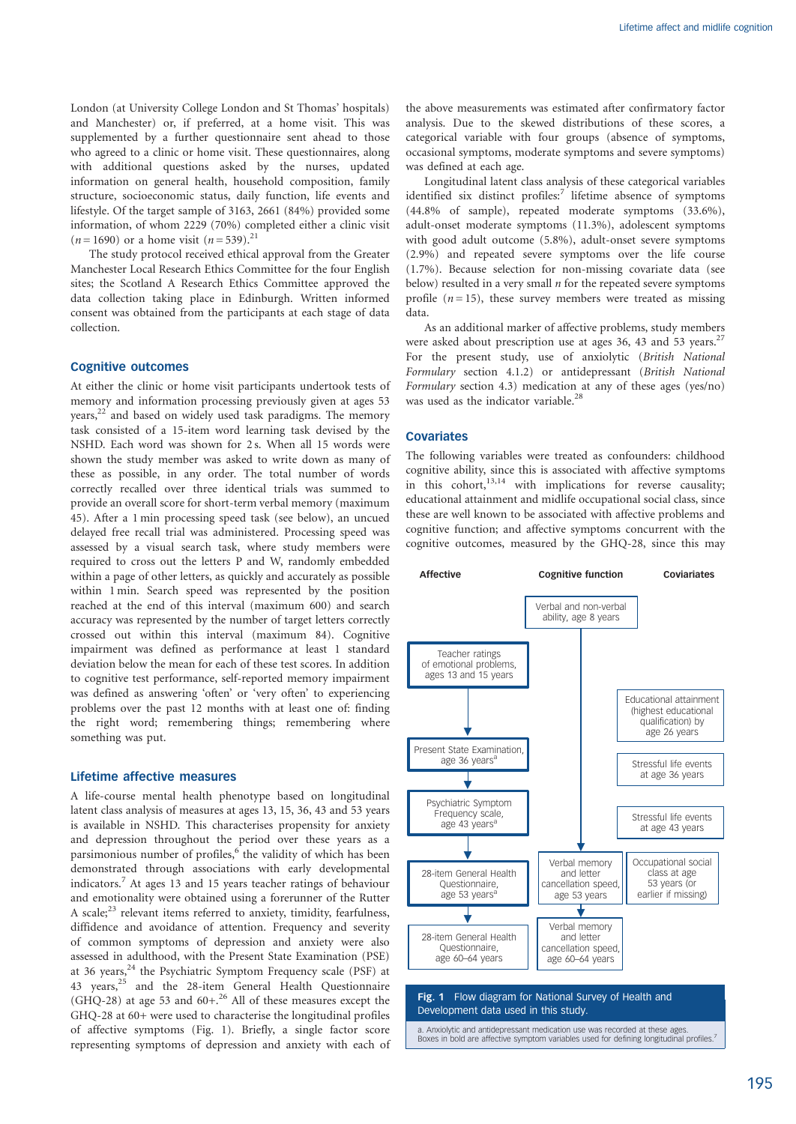London (at University College London and St Thomas' hospitals) and Manchester) or, if preferred, at a home visit. This was supplemented by a further questionnaire sent ahead to those who agreed to a clinic or home visit. These questionnaires, along with additional questions asked by the nurses, updated information on general health, household composition, family structure, socioeconomic status, daily function, life events and lifestyle. Of the target sample of 3163, 2661 (84%) provided some information, of whom 2229 (70%) completed either a clinic visit  $(n = 1690)$  or a home visit  $(n = 539).^{21}$ 

The study protocol received ethical approval from the Greater Manchester Local Research Ethics Committee for the four English sites; the Scotland A Research Ethics Committee approved the data collection taking place in Edinburgh. Written informed consent was obtained from the participants at each stage of data collection.

# Cognitive outcomes

At either the clinic or home visit participants undertook tests of memory and information processing previously given at ages 53  $years<sub>1</sub><sup>22</sup>$  and based on widely used task paradigms. The memory task consisted of a 15-item word learning task devised by the NSHD. Each word was shown for 2 s. When all 15 words were shown the study member was asked to write down as many of these as possible, in any order. The total number of words correctly recalled over three identical trials was summed to provide an overall score for short-term verbal memory (maximum 45). After a 1 min processing speed task (see below), an uncued delayed free recall trial was administered. Processing speed was assessed by a visual search task, where study members were required to cross out the letters P and W, randomly embedded within a page of other letters, as quickly and accurately as possible within 1 min. Search speed was represented by the position reached at the end of this interval (maximum 600) and search accuracy was represented by the number of target letters correctly crossed out within this interval (maximum 84). Cognitive impairment was defined as performance at least 1 standard deviation below the mean for each of these test scores. In addition to cognitive test performance, self-reported memory impairment was defined as answering 'often' or 'very often' to experiencing problems over the past 12 months with at least one of: finding the right word; remembering things; remembering where something was put.

# Lifetime affective measures

A life-course mental health phenotype based on longitudinal latent class analysis of measures at ages 13, 15, 36, 43 and 53 years is available in NSHD. This characterises propensity for anxiety and depression throughout the period over these years as a parsimonious number of profiles,<sup>6</sup> the validity of which has been demonstrated through associations with early developmental indicators.<sup>7</sup> At ages 13 and 15 years teacher ratings of behaviour and emotionality were obtained using a forerunner of the Rutter A scale;<sup>23</sup> relevant items referred to anxiety, timidity, fearfulness, diffidence and avoidance of attention. Frequency and severity of common symptoms of depression and anxiety were also assessed in adulthood, with the Present State Examination (PSE) at 36 years,<sup>24</sup> the Psychiatric Symptom Frequency scale (PSF) at  $43 \text{ years}$ ,  $25 \text{ and the } 28\text{-item}$  General Health Questionnaire (GHQ-28) at age 53 and  $60+<sup>26</sup>$  All of these measures except the GHQ-28 at 60+ were used to characterise the longitudinal profiles of affective symptoms (Fig. 1). Briefly, a single factor score representing symptoms of depression and anxiety with each of the above measurements was estimated after confirmatory factor analysis. Due to the skewed distributions of these scores, a categorical variable with four groups (absence of symptoms, occasional symptoms, moderate symptoms and severe symptoms) was defined at each age.

Longitudinal latent class analysis of these categorical variables identified six distinct profiles:<sup>7</sup> lifetime absence of symptoms (44.8% of sample), repeated moderate symptoms (33.6%), adult-onset moderate symptoms (11.3%), adolescent symptoms with good adult outcome (5.8%), adult-onset severe symptoms (2.9%) and repeated severe symptoms over the life course (1.7%). Because selection for non-missing covariate data (see below) resulted in a very small  $n$  for the repeated severe symptoms profile  $(n = 15)$ , these survey members were treated as missing data.

As an additional marker of affective problems, study members were asked about prescription use at ages 36, 43 and 53 years.<sup>27</sup> For the present study, use of anxiolytic (British National Formulary section 4.1.2) or antidepressant (British National Formulary section 4.3) medication at any of these ages (yes/no) was used as the indicator variable.<sup>28</sup>

# Covariates

The following variables were treated as confounders: childhood cognitive ability, since this is associated with affective symptoms in this cohort,  $13,14$  with implications for reverse causality; educational attainment and midlife occupational social class, since these are well known to be associated with affective problems and cognitive function; and affective symptoms concurrent with the cognitive outcomes, measured by the GHQ-28, since this may

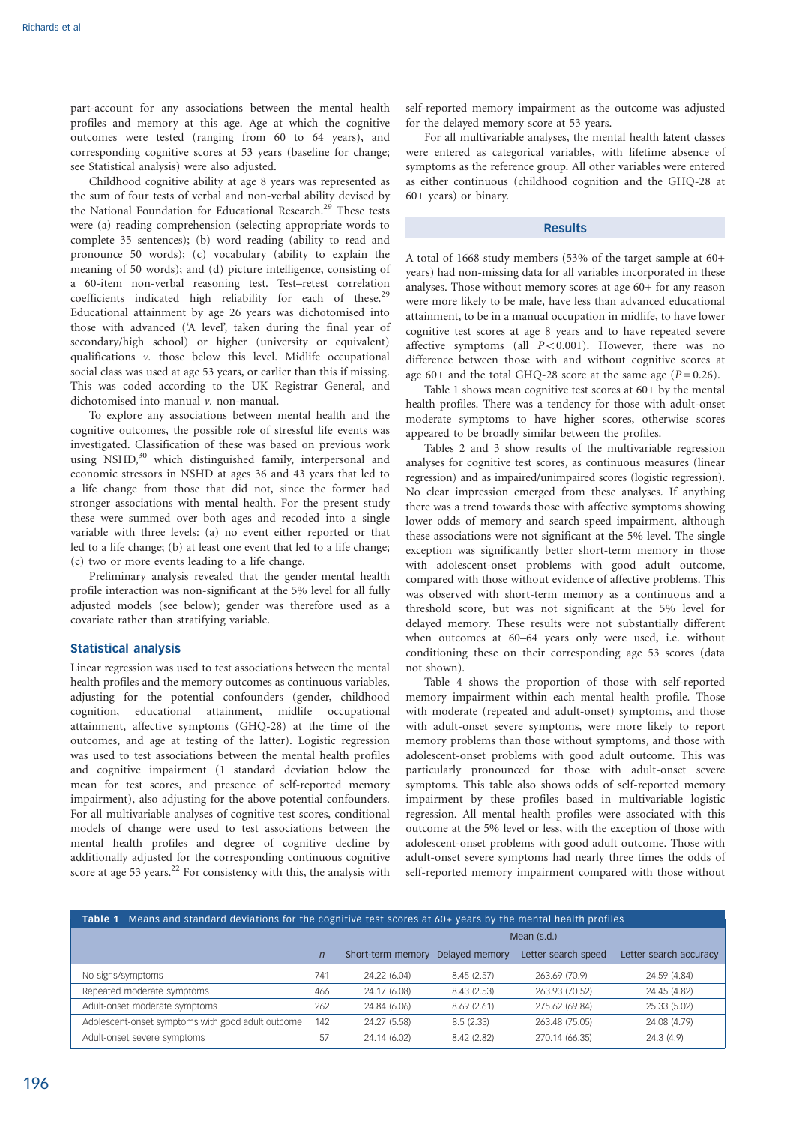part-account for any associations between the mental health profiles and memory at this age. Age at which the cognitive outcomes were tested (ranging from 60 to 64 years), and corresponding cognitive scores at 53 years (baseline for change; see Statistical analysis) were also adjusted.

Childhood cognitive ability at age 8 years was represented as the sum of four tests of verbal and non-verbal ability devised by the National Foundation for Educational Research.<sup>29</sup> These tests were (a) reading comprehension (selecting appropriate words to complete 35 sentences); (b) word reading (ability to read and pronounce 50 words); (c) vocabulary (ability to explain the meaning of 50 words); and (d) picture intelligence, consisting of a 60-item non-verbal reasoning test. Test–retest correlation coefficients indicated high reliability for each of these.<sup>29</sup> Educational attainment by age 26 years was dichotomised into those with advanced ('A level', taken during the final year of secondary/high school) or higher (university or equivalent) qualifications v. those below this level. Midlife occupational social class was used at age 53 years, or earlier than this if missing. This was coded according to the UK Registrar General, and dichotomised into manual v. non-manual.

To explore any associations between mental health and the cognitive outcomes, the possible role of stressful life events was investigated. Classification of these was based on previous work using NSHD,<sup>30</sup> which distinguished family, interpersonal and economic stressors in NSHD at ages 36 and 43 years that led to a life change from those that did not, since the former had stronger associations with mental health. For the present study these were summed over both ages and recoded into a single variable with three levels: (a) no event either reported or that led to a life change; (b) at least one event that led to a life change; (c) two or more events leading to a life change.

Preliminary analysis revealed that the gender mental health profile interaction was non-significant at the 5% level for all fully adjusted models (see below); gender was therefore used as a covariate rather than stratifying variable.

# Statistical analysis

Linear regression was used to test associations between the mental health profiles and the memory outcomes as continuous variables, adjusting for the potential confounders (gender, childhood cognition, educational attainment, midlife occupational attainment, affective symptoms (GHQ-28) at the time of the outcomes, and age at testing of the latter). Logistic regression was used to test associations between the mental health profiles and cognitive impairment (1 standard deviation below the mean for test scores, and presence of self-reported memory impairment), also adjusting for the above potential confounders. For all multivariable analyses of cognitive test scores, conditional models of change were used to test associations between the mental health profiles and degree of cognitive decline by additionally adjusted for the corresponding continuous cognitive score at age 53 years. $^{22}$  For consistency with this, the analysis with

self-reported memory impairment as the outcome was adjusted for the delayed memory score at 53 years.

For all multivariable analyses, the mental health latent classes were entered as categorical variables, with lifetime absence of symptoms as the reference group. All other variables were entered as either continuous (childhood cognition and the GHQ-28 at 60+ years) or binary.

# Results

A total of 1668 study members (53% of the target sample at 60+ years) had non-missing data for all variables incorporated in these analyses. Those without memory scores at age 60+ for any reason were more likely to be male, have less than advanced educational attainment, to be in a manual occupation in midlife, to have lower cognitive test scores at age 8 years and to have repeated severe affective symptoms (all  $P < 0.001$ ). However, there was no difference between those with and without cognitive scores at age 60+ and the total GHO-28 score at the same age  $(P=0.26)$ .

Table 1 shows mean cognitive test scores at 60+ by the mental health profiles. There was a tendency for those with adult-onset moderate symptoms to have higher scores, otherwise scores appeared to be broadly similar between the profiles.

Tables 2 and 3 show results of the multivariable regression analyses for cognitive test scores, as continuous measures (linear regression) and as impaired/unimpaired scores (logistic regression). No clear impression emerged from these analyses. If anything there was a trend towards those with affective symptoms showing lower odds of memory and search speed impairment, although these associations were not significant at the 5% level. The single exception was significantly better short-term memory in those with adolescent-onset problems with good adult outcome, compared with those without evidence of affective problems. This was observed with short-term memory as a continuous and a threshold score, but was not significant at the 5% level for delayed memory. These results were not substantially different when outcomes at 60–64 years only were used, i.e. without conditioning these on their corresponding age 53 scores (data not shown).

Table 4 shows the proportion of those with self-reported memory impairment within each mental health profile. Those with moderate (repeated and adult-onset) symptoms, and those with adult-onset severe symptoms, were more likely to report memory problems than those without symptoms, and those with adolescent-onset problems with good adult outcome. This was particularly pronounced for those with adult-onset severe symptoms. This table also shows odds of self-reported memory impairment by these profiles based in multivariable logistic regression. All mental health profiles were associated with this outcome at the 5% level or less, with the exception of those with adolescent-onset problems with good adult outcome. Those with adult-onset severe symptoms had nearly three times the odds of self-reported memory impairment compared with those without

| Means and standard deviations for the cognitive test scores at 60+ years by the mental health profiles<br>Table 1 |                |                   |                |                     |                        |
|-------------------------------------------------------------------------------------------------------------------|----------------|-------------------|----------------|---------------------|------------------------|
|                                                                                                                   |                | Mean (s.d.)       |                |                     |                        |
|                                                                                                                   | $\overline{n}$ | Short-term memory | Delayed memory | Letter search speed | Letter search accuracy |
| No signs/symptoms                                                                                                 | 741            | 24.22 (6.04)      | 8.45(2.57)     | 263.69 (70.9)       | 24.59 (4.84)           |
| Repeated moderate symptoms                                                                                        | 466            | 24.17 (6.08)      | 8.43 (2.53)    | 263.93 (70.52)      | 24.45 (4.82)           |
| Adult-onset moderate symptoms                                                                                     | 262            | 24.84 (6.06)      | 8.69(2.61)     | 275.62 (69.84)      | 25.33 (5.02)           |
| Adolescent-onset symptoms with good adult outcome                                                                 | 142            | 24.27 (5.58)      | 8.5(2.33)      | 263.48 (75.05)      | 24.08 (4.79)           |
| Adult-onset severe symptoms                                                                                       | 57             | 24.14 (6.02)      | 8.42 (2.82)    | 270.14 (66.35)      | 24.3 (4.9)             |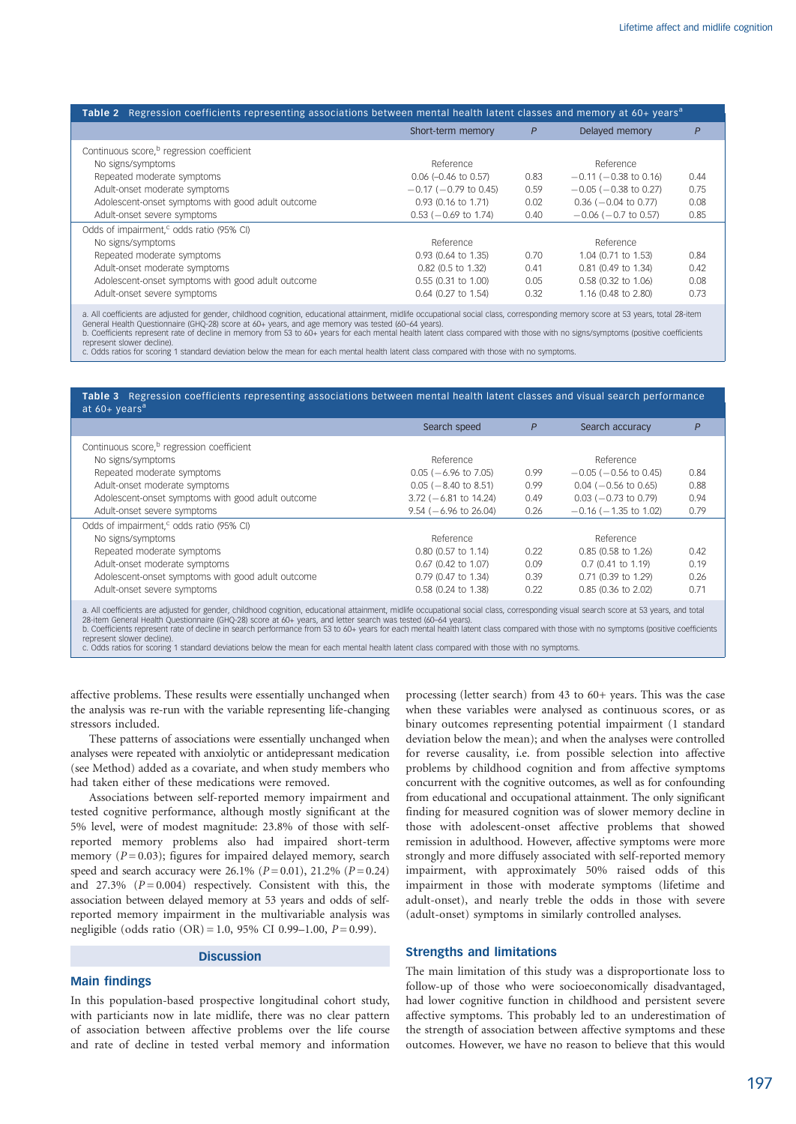| Table 2 Regression coefficients representing associations between mental health latent classes and memory at 60+ years <sup>a</sup>                                                                                            |                            |      |                            |              |
|--------------------------------------------------------------------------------------------------------------------------------------------------------------------------------------------------------------------------------|----------------------------|------|----------------------------|--------------|
|                                                                                                                                                                                                                                | Short-term memory          | P    | Delayed memory             | $\mathsf{P}$ |
| Continuous score, <sup>b</sup> regression coefficient                                                                                                                                                                          |                            |      |                            |              |
| No signs/symptoms                                                                                                                                                                                                              | Reference                  |      | Reference                  |              |
| Repeated moderate symptoms                                                                                                                                                                                                     | $0.06$ (-0.46 to 0.57)     | 0.83 | $-0.11$ ( $-0.38$ to 0.16) | 0.44         |
| Adult-onset moderate symptoms                                                                                                                                                                                                  | $-0.17$ ( $-0.79$ to 0.45) | 0.59 | $-0.05$ ( $-0.38$ to 0.27) | 0.75         |
| Adolescent-onset symptoms with good adult outcome                                                                                                                                                                              | 0.93 (0.16 to 1.71)        | 0.02 | $0.36$ ( $-0.04$ to 0.77)  | 0.08         |
| Adult-onset severe symptoms                                                                                                                                                                                                    | $0.53$ ( $-0.69$ to 1.74)  | 0.40 | $-0.06$ ( $-0.7$ to 0.57)  | 0.85         |
| Odds of impairment, <sup>c</sup> odds ratio (95% CI)                                                                                                                                                                           |                            |      |                            |              |
| No signs/symptoms                                                                                                                                                                                                              | Reference                  |      | Reference                  |              |
| Repeated moderate symptoms                                                                                                                                                                                                     | 0.93 (0.64 to 1.35)        | 0.70 | 1.04 (0.71 to 1.53)        | 0.84         |
| Adult-onset moderate symptoms                                                                                                                                                                                                  | 0.82 (0.5 to 1.32)         | 0.41 | 0.81 (0.49 to 1.34)        | 0.42         |
| Adolescent-onset symptoms with good adult outcome                                                                                                                                                                              | 0.55 (0.31 to 1.00)        | 0.05 | 0.58 (0.32 to 1.06)        | 0.08         |
| Adult-onset severe symptoms                                                                                                                                                                                                    | 0.64 (0.27 to 1.54)        | 0.32 | 1.16 (0.48 to 2.80)        | 0.73         |
| The Microsoft Constitution of the product different contract of contract in the constitution of the constraint of the constitution of the constitution of the constitution of the constitution of the American constitution of |                            |      |                            |              |

od cognition, educational attainment, midlife occupational social class, corresponding memory score at 53 years, tota General Health Questionnaire (GHQ-28) score at 60+ years, and age memory was tested (60–64 years).<br>b. Coefficients represent rate of decline in memory from 53 to 60+ years for each mental health latent class compared with represent slower decline).

c. Odds ratios for scoring 1 standard deviation below the mean for each mental health latent class compared with those with no symptoms.

# Table 3 Regression coefficients representing associations between mental health latent classes and visual search performance at  $60+$  years<sup>a</sup>

|                                                       | Search speed                     |      | Search accuracy            | P    |
|-------------------------------------------------------|----------------------------------|------|----------------------------|------|
| Continuous score, <sup>b</sup> regression coefficient |                                  |      |                            |      |
| No signs/symptoms                                     | Reference                        |      | Reference                  |      |
| Repeated moderate symptoms                            | $0.05$ ( $-6.96$ to 7.05)        | 0.99 | $-0.05$ ( $-0.56$ to 0.45) | 0.84 |
| Adult-onset moderate symptoms                         | $0.05$ ( $-8.40$ to 8.51)        | 0.99 | $0.04$ ( $-0.56$ to 0.65)  | 0.88 |
| Adolescent-onset symptoms with good adult outcome     | $3.72 (-6.81$ to 14.24)          | 0.49 | $0.03$ ( $-0.73$ to 0.79)  | 0.94 |
| Adult-onset severe symptoms                           | $9.54 (-6.96 \text{ to } 26.04)$ | 0.26 | $-0.16$ ( $-1.35$ to 1.02) | 0.79 |
| Odds of impairment, <sup>c</sup> odds ratio (95% CI)  |                                  |      |                            |      |
| No signs/symptoms                                     | Reference                        |      | Reference                  |      |
| Repeated moderate symptoms                            | $0.80$ (0.57 to 1.14)            | 0.22 | $0.85$ (0.58 to 1.26)      | 0.42 |
| Adult-onset moderate symptoms                         | 0.67 (0.42 to 1.07)              | 0.09 | $0.7$ (0.41 to 1.19)       | 0.19 |
| Adolescent-onset symptoms with good adult outcome     | 0.79 (0.47 to 1.34)              | 0.39 | 0.71 (0.39 to 1.29)        | 0.26 |
| Adult-onset severe symptoms                           | 0.58 (0.24 to 1.38)              | 0.22 | 0.85 (0.36 to 2.02)        | 0.71 |
|                                                       |                                  |      |                            |      |

a. All coefficients are adjusted for gender, childhood cognition, educational attainment, midlife occupational social class, corresponding visual search score at 53 years, and total 28-item General Health Questionnaire (GHQ-28) score at 60+ years, and letter search was tested (60–64 years). b. Coefficients represent rate of decline in search performance from 53 to 60+ years for each mental health latent class compared with those with no symptoms (positive coefficients

represent slower decline).

c. Odds ratios for scoring 1 standard deviations below the mean for each mental health latent class compared with those with no symptoms.

affective problems. These results were essentially unchanged when the analysis was re-run with the variable representing life-changing stressors included.

These patterns of associations were essentially unchanged when analyses were repeated with anxiolytic or antidepressant medication (see Method) added as a covariate, and when study members who had taken either of these medications were removed.

Associations between self-reported memory impairment and tested cognitive performance, although mostly significant at the 5% level, were of modest magnitude: 23.8% of those with selfreported memory problems also had impaired short-term memory ( $P = 0.03$ ); figures for impaired delayed memory, search speed and search accuracy were 26.1% ( $P = 0.01$ ), 21.2% ( $P = 0.24$ ) and 27.3%  $(P = 0.004)$  respectively. Consistent with this, the association between delayed memory at 53 years and odds of selfreported memory impairment in the multivariable analysis was negligible (odds ratio  $(OR) = 1.0$ , 95% CI 0.99-1.00,  $P = 0.99$ ).

# **Discussion**

# Main findings

In this population-based prospective longitudinal cohort study, with particiants now in late midlife, there was no clear pattern of association between affective problems over the life course and rate of decline in tested verbal memory and information processing (letter search) from 43 to 60+ years. This was the case when these variables were analysed as continuous scores, or as binary outcomes representing potential impairment (1 standard deviation below the mean); and when the analyses were controlled for reverse causality, i.e. from possible selection into affective problems by childhood cognition and from affective symptoms concurrent with the cognitive outcomes, as well as for confounding from educational and occupational attainment. The only significant finding for measured cognition was of slower memory decline in those with adolescent-onset affective problems that showed remission in adulthood. However, affective symptoms were more strongly and more diffusely associated with self-reported memory impairment, with approximately 50% raised odds of this impairment in those with moderate symptoms (lifetime and adult-onset), and nearly treble the odds in those with severe (adult-onset) symptoms in similarly controlled analyses.

# Strengths and limitations

The main limitation of this study was a disproportionate loss to follow-up of those who were socioeconomically disadvantaged, had lower cognitive function in childhood and persistent severe affective symptoms. This probably led to an underestimation of the strength of association between affective symptoms and these outcomes. However, we have no reason to believe that this would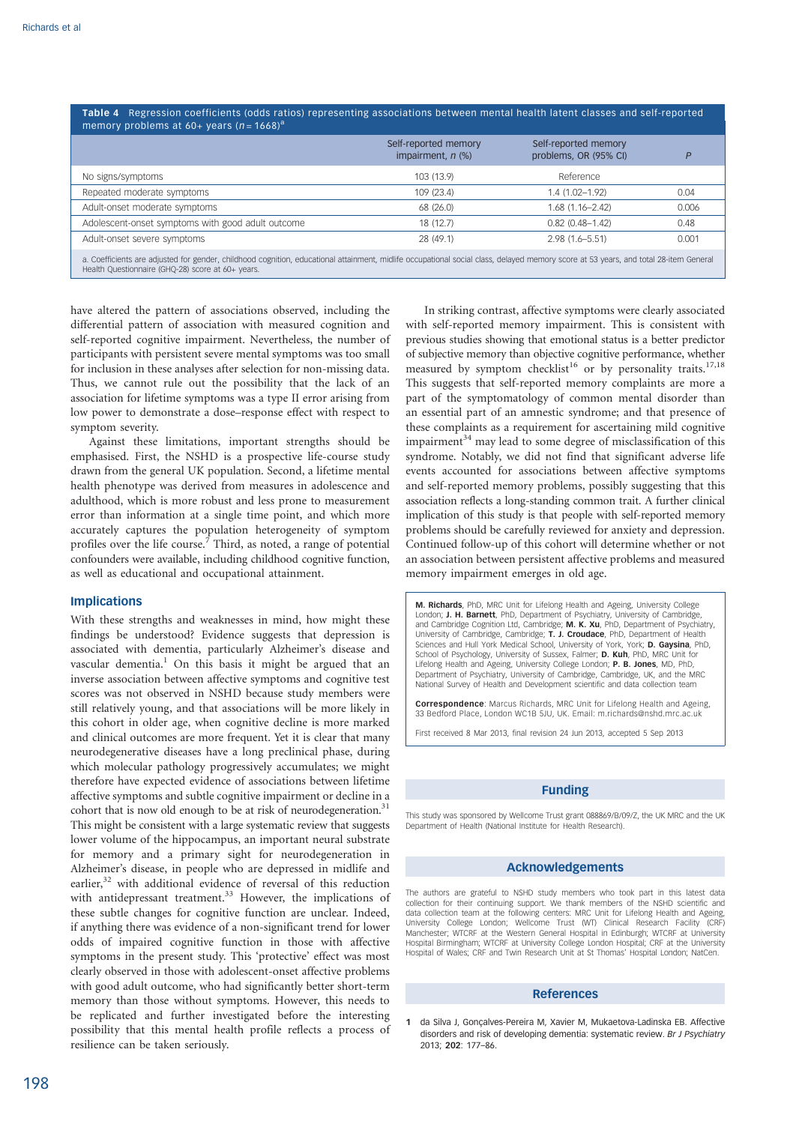| Self-reported memory<br>impairment, $n$ $%$ | Self-reported memory<br>problems, OR (95% CI) |       |
|---------------------------------------------|-----------------------------------------------|-------|
| 103 (13.9)                                  | Reference                                     |       |
| 109 (23.4)                                  | $1.4(1.02 - 1.92)$                            | 0.04  |
| 68 (26.0)                                   | $1.68(1.16 - 2.42)$                           | 0.006 |
| 18(12.7)                                    | $0.82(0.48 - 1.42)$                           | 0.48  |
| 28 (49.1)                                   | $2.98(1.6 - 5.51)$                            | 0.001 |
|                                             |                                               |       |

have altered the pattern of associations observed, including the differential pattern of association with measured cognition and self-reported cognitive impairment. Nevertheless, the number of participants with persistent severe mental symptoms was too small for inclusion in these analyses after selection for non-missing data. Thus, we cannot rule out the possibility that the lack of an association for lifetime symptoms was a type II error arising from low power to demonstrate a dose–response effect with respect to symptom severity.

Against these limitations, important strengths should be emphasised. First, the NSHD is a prospective life-course study drawn from the general UK population. Second, a lifetime mental health phenotype was derived from measures in adolescence and adulthood, which is more robust and less prone to measurement error than information at a single time point, and which more accurately captures the population heterogeneity of symptom profiles over the life course.<sup>7</sup> Third, as noted, a range of potential confounders were available, including childhood cognitive function, as well as educational and occupational attainment.

#### **Implications**

With these strengths and weaknesses in mind, how might these findings be understood? Evidence suggests that depression is associated with dementia, particularly Alzheimer's disease and vascular dementia.<sup>1</sup> On this basis it might be argued that an inverse association between affective symptoms and cognitive test scores was not observed in NSHD because study members were still relatively young, and that associations will be more likely in this cohort in older age, when cognitive decline is more marked and clinical outcomes are more frequent. Yet it is clear that many neurodegenerative diseases have a long preclinical phase, during which molecular pathology progressively accumulates; we might therefore have expected evidence of associations between lifetime affective symptoms and subtle cognitive impairment or decline in a cohort that is now old enough to be at risk of neurodegeneration.<sup>31</sup> This might be consistent with a large systematic review that suggests lower volume of the hippocampus, an important neural substrate for memory and a primary sight for neurodegeneration in Alzheimer's disease, in people who are depressed in midlife and earlier,<sup>32</sup> with additional evidence of reversal of this reduction with antidepressant treatment.<sup>33</sup> However, the implications of these subtle changes for cognitive function are unclear. Indeed, if anything there was evidence of a non-significant trend for lower odds of impaired cognitive function in those with affective symptoms in the present study. This 'protective' effect was most clearly observed in those with adolescent-onset affective problems with good adult outcome, who had significantly better short-term memory than those without symptoms. However, this needs to be replicated and further investigated before the interesting possibility that this mental health profile reflects a process of resilience can be taken seriously.

In striking contrast, affective symptoms were clearly associated with self-reported memory impairment. This is consistent with previous studies showing that emotional status is a better predictor of subjective memory than objective cognitive performance, whether measured by symptom checklist<sup>16</sup> or by personality traits.<sup>17,18</sup> This suggests that self-reported memory complaints are more a part of the symptomatology of common mental disorder than an essential part of an amnestic syndrome; and that presence of these complaints as a requirement for ascertaining mild cognitive impairment $^{34}$  may lead to some degree of misclassification of this syndrome. Notably, we did not find that significant adverse life events accounted for associations between affective symptoms and self-reported memory problems, possibly suggesting that this association reflects a long-standing common trait. A further clinical implication of this study is that people with self-reported memory problems should be carefully reviewed for anxiety and depression. Continued follow-up of this cohort will determine whether or not an association between persistent affective problems and measured memory impairment emerges in old age.

M. Richards, PhD, MRC Unit for Lifelong Health and Ageing, University College London; J. H. Barnett, PhD, Department of Psychiatry, University of Cambridge, and Cambridge Cognition Ltd, Cambridge; M. K. Xu, PhD, Department of Psychiatry, University of Cambridge, Cambridge; **T. J. Croudace**, PhD, Department of Health<br>Sciences and Hull York Medical School, University of York, York; **D. Gaysina**, PhD, School of Psychology, University of Sussex, Falmer; D. Kuh, PhD, MRC Unit for Lifelong Health and Ageing, University College London; P. B. Jones, MD, PhD, Department of Psychiatry, University of Cambridge, Cambridge, UK, and the MRC National Survey of Health and Development scientific and data collection team

Correspondence: Marcus Richards, MRC Unit for Lifelong Health and Ageing, 33 Bedford Place, London WC1B 5JU, UK. Email: m.richards@nshd.mrc.ac.uk

First received 8 Mar 2013, final revision 24 Jun 2013, accepted 5 Sep 2013

# Funding

This study was sponsored by Wellcome Trust grant 088869/B/09/Z, the UK MRC and the UK Department of Health (National Institute for Health Research).

# Acknowledgements

The authors are grateful to NSHD study members who took part in this latest data collection for their continuing support. We thank members of the NSHD scientific and data collection team at the following centers: MRC Unit for Lifelong Health and Ageing, University College London; Wellcome Trust (WT) Clinical Research Facility (CRF) Manchester; WTCRF at the Western General Hospital in Edinburgh; WTCRF at University Hospital Birmingham; WTCRF at University College London Hospital; CRF at the University Hospital of Wales; CRF and Twin Research Unit at St Thomas' Hospital London; NatCen.

#### References

da Silva J, Goncalves-Pereira M, Xavier M, Mukaetova-Ladinska EB. Affective disorders and risk of developing dementia: systematic review. Br J Psychiatry 2013; 202: 177–86.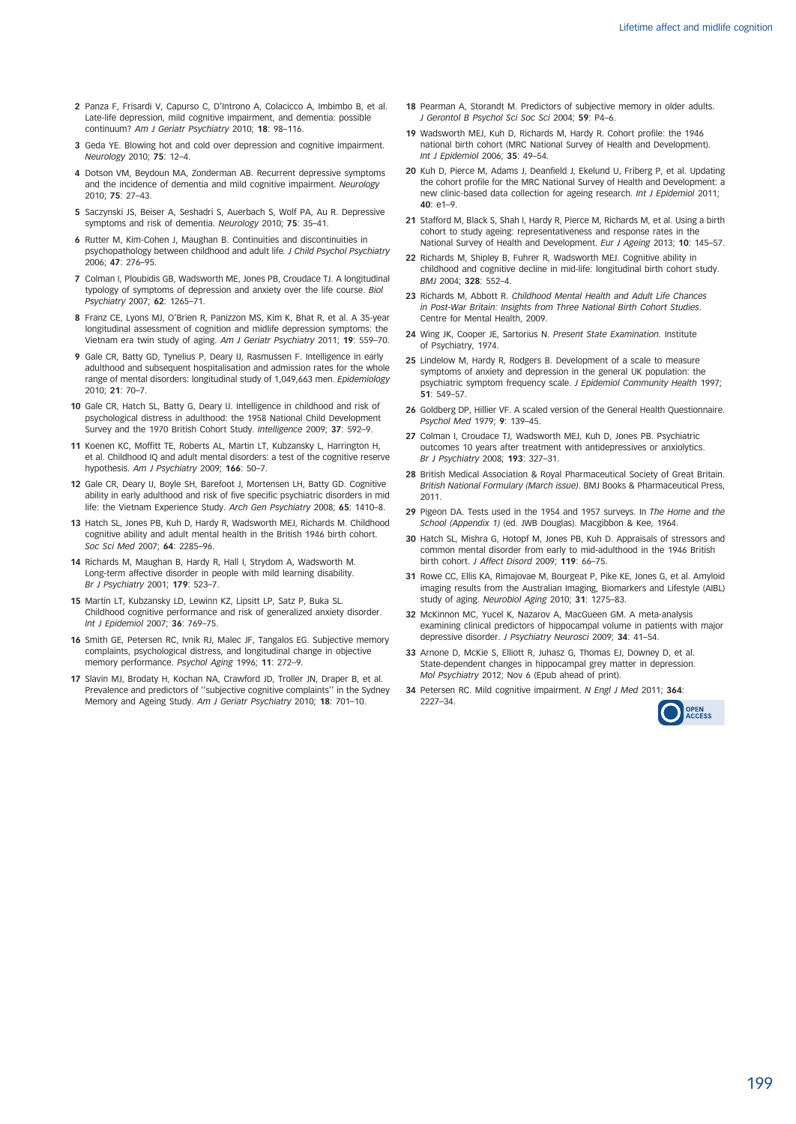- 2 Panza F, Frisardi V, Capurso C, D'Introno A, Colacicco A, Imbimbo B, et al. Late-life depression, mild cognitive impairment, and dementia: possible continuum? Am J Geriatr Psychiatry 2010; 18: 98–116.
- 3 Geda YE. Blowing hot and cold over depression and cognitive impairment. Neurology 2010; 75: 12–4.
- 4 Dotson VM, Beydoun MA, Zonderman AB. Recurrent depressive symptoms and the incidence of dementia and mild cognitive impairment. Neurology 2010; 75: 27–43.
- 5 Saczynski JS, Beiser A, Seshadri S, Auerbach S, Wolf PA, Au R. Depressive symptoms and risk of dementia. Neurology 2010; 75: 35–41.
- 6 Rutter M, Kim-Cohen J, Maughan B. Continuities and discontinuities in psychopathology between childhood and adult life. J Child Psychol Psychiatry 2006; 47: 276–95.
- 7 Colman I, Ploubidis GB, Wadsworth ME, Jones PB, Croudace TJ. A longitudinal typology of symptoms of depression and anxiety over the life course. Biol Psychiatry 2007; 62: 1265–71.
- 8 Franz CE, Lyons MJ, O'Brien R, Panizzon MS, Kim K, Bhat R, et al. A 35-year longitudinal assessment of cognition and midlife depression symptoms: the Vietnam era twin study of aging. Am J Geriatr Psychiatry 2011; 19: 559–70.
- 9 Gale CR, Batty GD, Tynelius P, Deary IJ, Rasmussen F. Intelligence in early adulthood and subsequent hospitalisation and admission rates for the whole range of mental disorders: longitudinal study of 1,049,663 men. Epidemiology 2010; 21: 70–7.
- 10 Gale CR, Hatch SL, Batty G, Deary IJ. Intelligence in childhood and risk of psychological distress in adulthood: the 1958 National Child Development Survey and the 1970 British Cohort Study. Intelligence 2009; 37: 592–9.
- 11 Koenen KC, Moffitt TE, Roberts AL, Martin LT, Kubzansky L, Harrington H, et al. Childhood IQ and adult mental disorders: a test of the cognitive reserve hypothesis. Am J Psychiatry 2009; 166: 50-7.
- 12 Gale CR, Deary IJ, Boyle SH, Barefoot J, Mortensen LH, Batty GD. Cognitive ability in early adulthood and risk of five specific psychiatric disorders in mid life: the Vietnam Experience Study. Arch Gen Psychiatry 2008; 65: 1410–8.
- 13 Hatch SL, Jones PB, Kuh D, Hardy R, Wadsworth MEJ, Richards M. Childhood cognitive ability and adult mental health in the British 1946 birth cohort. Soc Sci Med 2007; 64: 2285–96.
- 14 Richards M, Maughan B, Hardy R, Hall I, Strydom A, Wadsworth M. Long-term affective disorder in people with mild learning disability. Br J Psychiatry 2001; 179: 523–7.
- 15 Martin LT, Kubzansky LD, Lewinn KZ, Lipsitt LP, Satz P, Buka SL. Childhood cognitive performance and risk of generalized anxiety disorder. Int J Epidemiol 2007; 36: 769–75.
- 16 Smith GE, Petersen RC, Ivnik RJ, Malec JF, Tangalos EG. Subjective memory complaints, psychological distress, and longitudinal change in objective memory performance. Psychol Aging 1996; 11: 272–9.
- 17 Slavin MJ, Brodaty H, Kochan NA, Crawford JD, Troller JN, Draper B, et al. Prevalence and predictors of ''subjective cognitive complaints'' in the Sydney Memory and Ageing Study. Am J Geriatr Psychiatry 2010; 18: 701–10.
- 18 Pearman A, Storandt M. Predictors of subjective memory in older adults. J Gerontol B Psychol Sci Soc Sci 2004; 59: P4–6.
- 19 Wadsworth MEJ, Kuh D, Richards M, Hardy R. Cohort profile: the 1946 national birth cohort (MRC National Survey of Health and Development). Int J Epidemiol 2006; 35: 49–54.
- 20 Kuh D, Pierce M, Adams J, Deanfield J, Ekelund U, Friberg P, et al. Updating the cohort profile for the MRC National Survey of Health and Development: a new clinic-based data collection for ageing research. Int J Epidemiol 2011; 40: e1–9.
- 21 Stafford M, Black S, Shah I, Hardy R, Pierce M, Richards M, et al. Using a birth cohort to study ageing: representativeness and response rates in the National Survey of Health and Development. Eur J Ageing 2013; 10: 145–57.
- 22 Richards M, Shipley B, Fuhrer R, Wadsworth MEJ. Cognitive ability in childhood and cognitive decline in mid-life: longitudinal birth cohort study. BMJ 2004; 328: 552–4.
- 23 Richards M, Abbott R. Childhood Mental Health and Adult Life Chances in Post-War Britain: Insights from Three National Birth Cohort Studies. Centre for Mental Health, 2009.
- 24 Wing JK, Cooper JE, Sartorius N. Present State Examination. Institute of Psychiatry, 1974.
- 25 Lindelow M, Hardy R, Rodgers B. Development of a scale to measure symptoms of anxiety and depression in the general UK population: the psychiatric symptom frequency scale. J Epidemiol Community Health 1997; 51: 549–57.
- 26 Goldberg DP, Hillier VF. A scaled version of the General Health Questionnaire. Psychol Med 1979; 9: 139–45.
- 27 Colman I, Croudace TJ, Wadsworth MEJ, Kuh D, Jones PB. Psychiatric outcomes 10 years after treatment with antidepressives or anxiolytics. Br J Psychiatry 2008; 193: 327–31.
- 28 British Medical Association & Royal Pharmaceutical Society of Great Britain. British National Formulary (March issue). BMJ Books & Pharmaceutical Press, 2011.
- 29 Pigeon DA. Tests used in the 1954 and 1957 surveys. In The Home and the School (Appendix 1) (ed. JWB Douglas). Macgibbon & Kee, 1964.
- 30 Hatch SL, Mishra G, Hotopf M, Jones PB, Kuh D. Appraisals of stressors and common mental disorder from early to mid-adulthood in the 1946 British birth cohort. J Affect Disord 2009; 119: 66-75.
- 31 Rowe CC, Ellis KA, Rimajovae M, Bourgeat P, Pike KE, Jones G, et al. Amyloid imaging results from the Australian Imaging, Biomarkers and Lifestyle (AIBL) study of aging. Neurobiol Aging 2010; 31: 1275–83.
- 32 McKinnon MC, Yucel K, Nazarov A, MacGueen GM. A meta-analysis examining clinical predictors of hippocampal volume in patients with major depressive disorder. J Psychiatry Neurosci 2009; 34: 41–54.
- 33 Arnone D, McKie S, Elliott R, Juhasz G, Thomas EJ, Downey D, et al. State-dependent changes in hippocampal grey matter in depression. Mol Psychiatry 2012; Nov 6 (Epub ahead of print).
- 34 Petersen RC. Mild cognitive impairment. N Engl J Med 2011; 364: 2227–34.